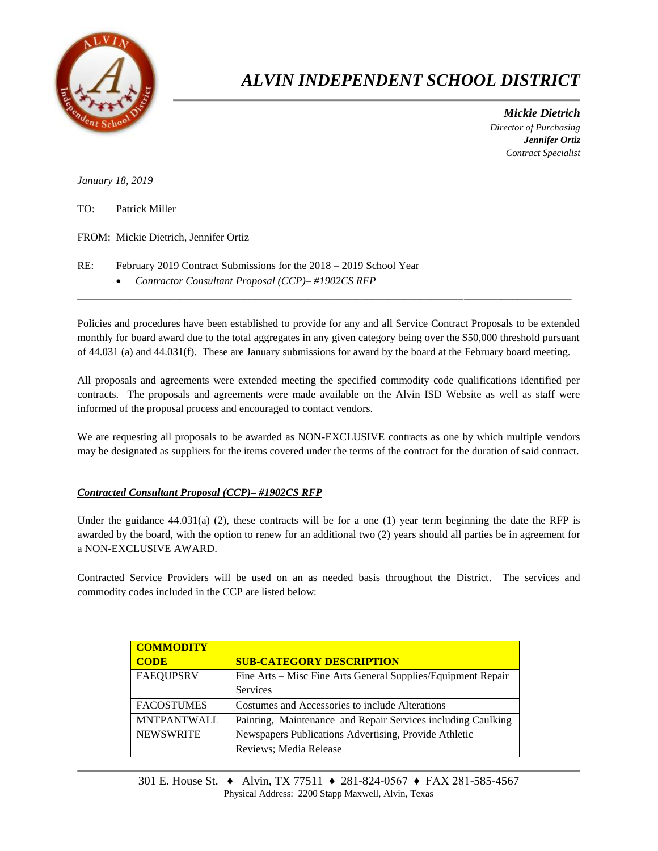

## *ALVIN INDEPENDENT SCHOOL DISTRICT*

 *Mickie Dietrich Director of Purchasing Jennifer Ortiz Contract Specialist*

*January 18, 2019*

| TO: | Patrick Miller |
|-----|----------------|
|     |                |

FROM: Mickie Dietrich, Jennifer Ortiz

RE: February 2019 Contract Submissions for the  $2018 - 2019$  School Year *Contractor Consultant Proposal (CCP)– #1902CS RFP*

Policies and procedures have been established to provide for any and all Service Contract Proposals to be extended monthly for board award due to the total aggregates in any given category being over the \$50,000 threshold pursuant of 44.031 (a) and 44.031(f). These are January submissions for award by the board at the February board meeting.

 $\overline{a}$  , and the contribution of the contribution of the contribution of the contribution of the contribution of the contribution of the contribution of the contribution of the contribution of the contribution of the co

All proposals and agreements were extended meeting the specified commodity code qualifications identified per contracts. The proposals and agreements were made available on the Alvin ISD Website as well as staff were informed of the proposal process and encouraged to contact vendors.

We are requesting all proposals to be awarded as NON-EXCLUSIVE contracts as one by which multiple vendors may be designated as suppliers for the items covered under the terms of the contract for the duration of said contract.

## *Contracted Consultant Proposal (CCP)– #1902CS RFP*

Under the guidance  $44.031(a)$  (2), these contracts will be for a one (1) year term beginning the date the RFP is awarded by the board, with the option to renew for an additional two (2) years should all parties be in agreement for a NON-EXCLUSIVE AWARD.

Contracted Service Providers will be used on an as needed basis throughout the District. The services and commodity codes included in the CCP are listed below:

| <b>COMMODITY</b>   |                                                              |
|--------------------|--------------------------------------------------------------|
| <b>CODE</b>        | <b>SUB-CATEGORY DESCRIPTION</b>                              |
| <b>FAEQUPSRV</b>   | Fine Arts – Misc Fine Arts General Supplies/Equipment Repair |
|                    | <b>Services</b>                                              |
| <b>FACOSTUMES</b>  | Costumes and Accessories to include Alterations              |
| <b>MNTPANTWALL</b> | Painting, Maintenance and Repair Services including Caulking |
| <b>NEWSWRITE</b>   | Newspapers Publications Advertising, Provide Athletic        |
|                    | Reviews; Media Release                                       |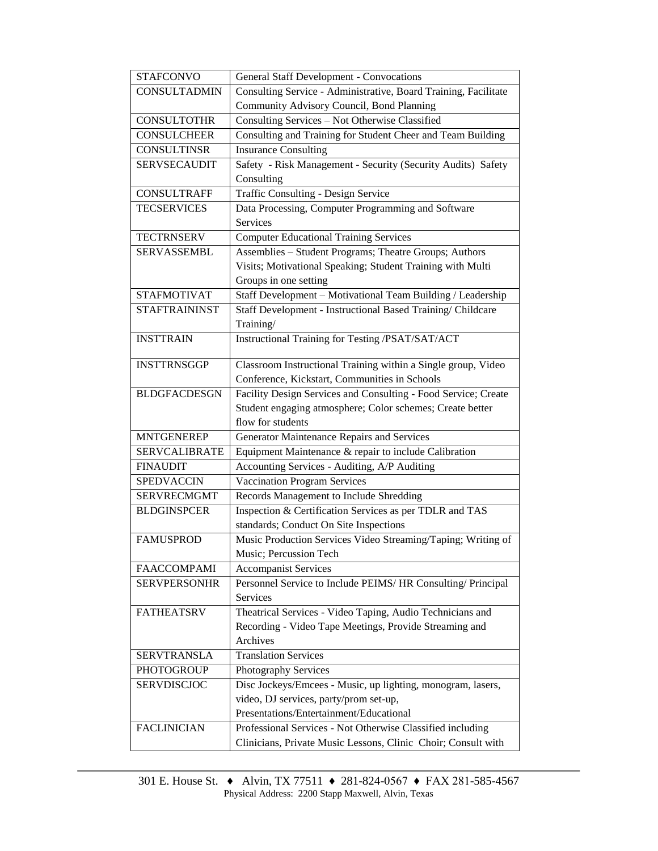| <b>STAFCONVO</b>     | <b>General Staff Development - Convocations</b>                 |  |  |  |
|----------------------|-----------------------------------------------------------------|--|--|--|
| <b>CONSULTADMIN</b>  | Consulting Service - Administrative, Board Training, Facilitate |  |  |  |
|                      | Community Advisory Council, Bond Planning                       |  |  |  |
| <b>CONSULTOTHR</b>   | Consulting Services - Not Otherwise Classified                  |  |  |  |
| <b>CONSULCHEER</b>   | Consulting and Training for Student Cheer and Team Building     |  |  |  |
| <b>CONSULTINSR</b>   | <b>Insurance Consulting</b>                                     |  |  |  |
| <b>SERVSECAUDIT</b>  | Safety - Risk Management - Security (Security Audits) Safety    |  |  |  |
|                      | Consulting                                                      |  |  |  |
| <b>CONSULTRAFF</b>   | Traffic Consulting - Design Service                             |  |  |  |
| <b>TECSERVICES</b>   | Data Processing, Computer Programming and Software              |  |  |  |
|                      | Services                                                        |  |  |  |
| <b>TECTRNSERV</b>    | <b>Computer Educational Training Services</b>                   |  |  |  |
| <b>SERVASSEMBL</b>   | Assemblies - Student Programs; Theatre Groups; Authors          |  |  |  |
|                      | Visits; Motivational Speaking; Student Training with Multi      |  |  |  |
|                      | Groups in one setting                                           |  |  |  |
| <b>STAFMOTIVAT</b>   | Staff Development - Motivational Team Building / Leadership     |  |  |  |
| <b>STAFTRAININST</b> | Staff Development - Instructional Based Training/ Childcare     |  |  |  |
|                      | Training/                                                       |  |  |  |
| <b>INSTTRAIN</b>     | Instructional Training for Testing /PSAT/SAT/ACT                |  |  |  |
|                      |                                                                 |  |  |  |
| <b>INSTTRNSGGP</b>   | Classroom Instructional Training within a Single group, Video   |  |  |  |
|                      | Conference, Kickstart, Communities in Schools                   |  |  |  |
| <b>BLDGFACDESGN</b>  | Facility Design Services and Consulting - Food Service; Create  |  |  |  |
|                      | Student engaging atmosphere; Color schemes; Create better       |  |  |  |
|                      | flow for students                                               |  |  |  |
| <b>MNTGENEREP</b>    | Generator Maintenance Repairs and Services                      |  |  |  |
| <b>SERVCALIBRATE</b> | Equipment Maintenance & repair to include Calibration           |  |  |  |
| <b>FINAUDIT</b>      | Accounting Services - Auditing, A/P Auditing                    |  |  |  |
| <b>SPEDVACCIN</b>    | <b>Vaccination Program Services</b>                             |  |  |  |
| <b>SERVRECMGMT</b>   | Records Management to Include Shredding                         |  |  |  |
| <b>BLDGINSPCER</b>   | Inspection & Certification Services as per TDLR and TAS         |  |  |  |
|                      | standards; Conduct On Site Inspections                          |  |  |  |
| <b>FAMUSPROD</b>     | Music Production Services Video Streaming/Taping; Writing of    |  |  |  |
|                      | Music; Percussion Tech                                          |  |  |  |
| <b>FAACCOMPAMI</b>   | <b>Accompanist Services</b>                                     |  |  |  |
| <b>SERVPERSONHR</b>  | Personnel Service to Include PEIMS/HR Consulting/ Principal     |  |  |  |
|                      | Services                                                        |  |  |  |
| <b>FATHEATSRV</b>    | Theatrical Services - Video Taping, Audio Technicians and       |  |  |  |
|                      | Recording - Video Tape Meetings, Provide Streaming and          |  |  |  |
|                      | Archives                                                        |  |  |  |
| <b>SERVTRANSLA</b>   | <b>Translation Services</b>                                     |  |  |  |
| PHOTOGROUP           | Photography Services                                            |  |  |  |
| <b>SERVDISCJOC</b>   | Disc Jockeys/Emcees - Music, up lighting, monogram, lasers,     |  |  |  |
|                      | video, DJ services, party/prom set-up,                          |  |  |  |
|                      | Presentations/Entertainment/Educational                         |  |  |  |
| <b>FACLINICIAN</b>   | Professional Services - Not Otherwise Classified including      |  |  |  |
|                      | Clinicians, Private Music Lessons, Clinic Choir; Consult with   |  |  |  |
|                      |                                                                 |  |  |  |